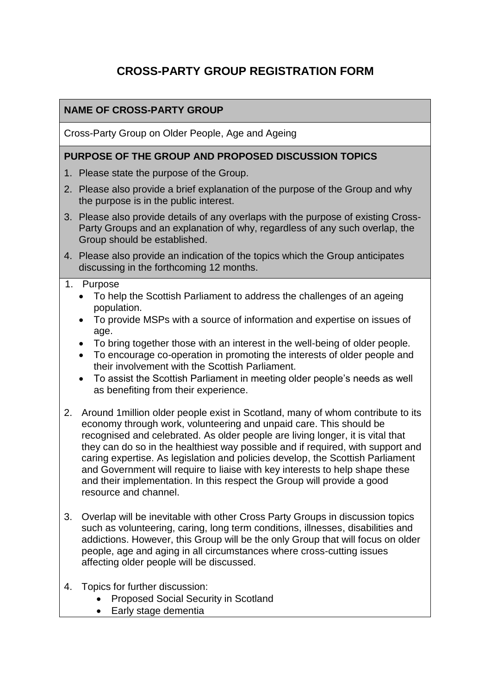# **CROSS-PARTY GROUP REGISTRATION FORM**

### **NAME OF CROSS-PARTY GROUP**

Cross-Party Group on Older People, Age and Ageing

#### **PURPOSE OF THE GROUP AND PROPOSED DISCUSSION TOPICS**

- 1. Please state the purpose of the Group.
- 2. Please also provide a brief explanation of the purpose of the Group and why the purpose is in the public interest.
- 3. Please also provide details of any overlaps with the purpose of existing Cross-Party Groups and an explanation of why, regardless of any such overlap, the Group should be established.
- 4. Please also provide an indication of the topics which the Group anticipates discussing in the forthcoming 12 months.

#### 1. Purpose

- To help the Scottish Parliament to address the challenges of an ageing population.
- To provide MSPs with a source of information and expertise on issues of age.
- To bring together those with an interest in the well-being of older people.
- To encourage co-operation in promoting the interests of older people and their involvement with the Scottish Parliament.
- To assist the Scottish Parliament in meeting older people's needs as well as benefiting from their experience.
- 2. Around 1million older people exist in Scotland, many of whom contribute to its economy through work, volunteering and unpaid care. This should be recognised and celebrated. As older people are living longer, it is vital that they can do so in the healthiest way possible and if required, with support and caring expertise. As legislation and policies develop, the Scottish Parliament and Government will require to liaise with key interests to help shape these and their implementation. In this respect the Group will provide a good resource and channel.
- 3. Overlap will be inevitable with other Cross Party Groups in discussion topics such as volunteering, caring, long term conditions, illnesses, disabilities and addictions. However, this Group will be the only Group that will focus on older people, age and aging in all circumstances where cross-cutting issues affecting older people will be discussed.
- 4. Topics for further discussion:
	- Proposed Social Security in Scotland
	- Early stage dementia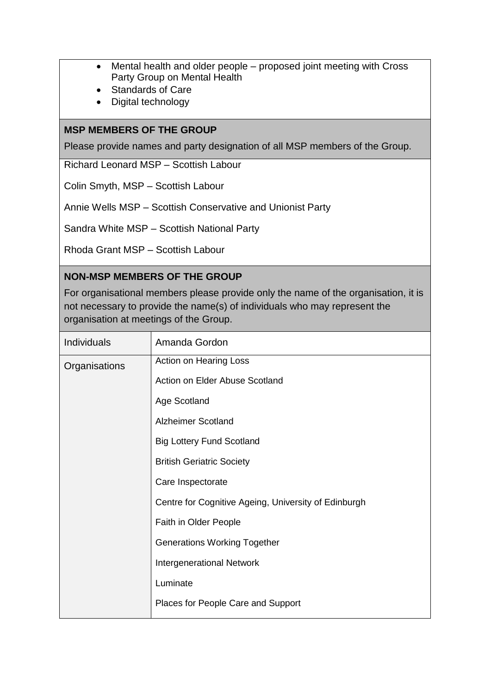- Mental health and older people proposed joint meeting with Cross Party Group on Mental Health
- Standards of Care
- Digital technology

### **MSP MEMBERS OF THE GROUP**

Please provide names and party designation of all MSP members of the Group.

Richard Leonard MSP – Scottish Labour

Colin Smyth, MSP – Scottish Labour

Annie Wells MSP – Scottish Conservative and Unionist Party

Sandra White MSP – Scottish National Party

Rhoda Grant MSP – Scottish Labour

#### **NON-MSP MEMBERS OF THE GROUP**

For organisational members please provide only the name of the organisation, it is not necessary to provide the name(s) of individuals who may represent the organisation at meetings of the Group.

| Individuals   | Amanda Gordon                                        |
|---------------|------------------------------------------------------|
| Organisations | Action on Hearing Loss                               |
|               | Action on Elder Abuse Scotland                       |
|               | Age Scotland                                         |
|               | <b>Alzheimer Scotland</b>                            |
|               | <b>Big Lottery Fund Scotland</b>                     |
|               | <b>British Geriatric Society</b>                     |
|               | Care Inspectorate                                    |
|               | Centre for Cognitive Ageing, University of Edinburgh |
|               | Faith in Older People                                |
|               | <b>Generations Working Together</b>                  |
|               | <b>Intergenerational Network</b>                     |
|               | Luminate                                             |
|               | Places for People Care and Support                   |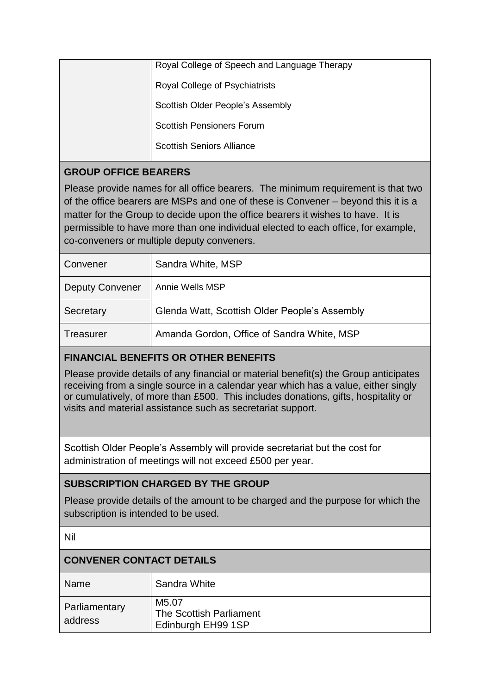| Royal College of Speech and Language Therapy |
|----------------------------------------------|
| Royal College of Psychiatrists               |
| Scottish Older People's Assembly             |
| <b>Scottish Pensioners Forum</b>             |
| <b>Scottish Seniors Alliance</b>             |
|                                              |

# **GROUP OFFICE BEARERS**

Please provide names for all office bearers. The minimum requirement is that two of the office bearers are MSPs and one of these is Convener – beyond this it is a matter for the Group to decide upon the office bearers it wishes to have. It is permissible to have more than one individual elected to each office, for example, co-conveners or multiple deputy conveners.

| Convener               | Sandra White, MSP                             |
|------------------------|-----------------------------------------------|
| <b>Deputy Convener</b> | Annie Wells MSP                               |
| Secretary              | Glenda Watt, Scottish Older People's Assembly |
| Treasurer              | Amanda Gordon, Office of Sandra White, MSP    |

# **FINANCIAL BENEFITS OR OTHER BENEFITS**

Please provide details of any financial or material benefit(s) the Group anticipates receiving from a single source in a calendar year which has a value, either singly or cumulatively, of more than £500. This includes donations, gifts, hospitality or visits and material assistance such as secretariat support.

Scottish Older People's Assembly will provide secretariat but the cost for administration of meetings will not exceed £500 per year.

## **SUBSCRIPTION CHARGED BY THE GROUP**

Please provide details of the amount to be charged and the purpose for which the subscription is intended to be used.

Nil

# **CONVENER CONTACT DETAILS** Name Sandra White **Parliamentary** address M5.07 The Scottish Parliament Edinburgh EH99 1SP